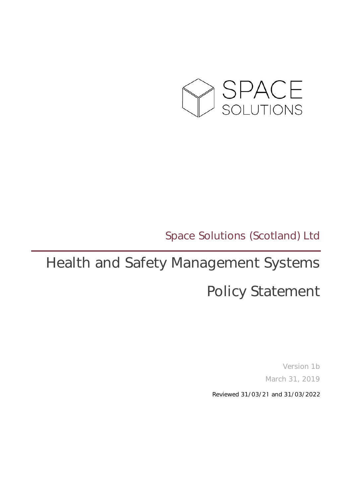

### Space Solutions (Scotland) Ltd

# Health and Safety Management Systems

## Policy Statement

Version 1b March 31, 2019

Reviewed 31/03/21 and 31/03/2022